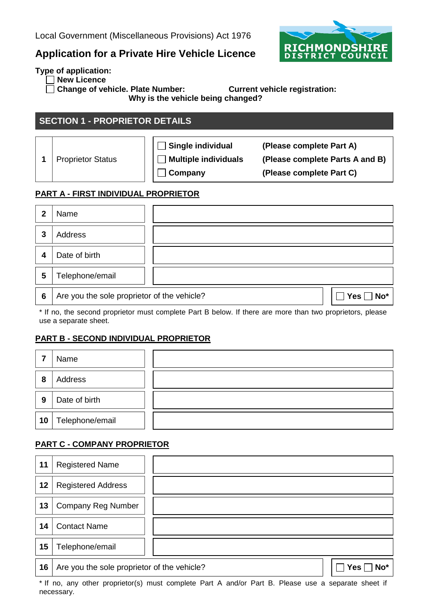## **Application for a Private Hire Vehicle Licence**



**Type of application:**

**New Licence** 

**Change of vehicle. Plate Number: Current vehicle registration:** 

**Why is the vehicle being changed?**

## **SECTION 1 - PROPRIETOR DETAILS**

1 | Proprietor Status

 $\Box$ ٦

**Single individual (Please complete Part A) Multiple individuals (Please complete Parts A and B) Company (Please complete Part C)**

#### **PART A - FIRST INDIVIDUAL PROPRIETOR**

| 2 | Name                                        |                |
|---|---------------------------------------------|----------------|
| 3 | Address                                     |                |
| 4 | Date of birth                               |                |
| 5 | Telephone/email                             |                |
| 6 | Are you the sole proprietor of the vehicle? | Yes $\Box$ No* |

\* If no, the second proprietor must complete Part B below. If there are more than two proprietors, please use a separate sheet.

### **PART B - SECOND INDIVIDUAL PROPRIETOR**

|    | Name            |  |
|----|-----------------|--|
| 8  | Address         |  |
| 9  | Date of birth   |  |
| 10 | Telephone/email |  |

#### **PART C - COMPANY PROPRIETOR**

| 11 | <b>Registered Name</b>                      |  |            |
|----|---------------------------------------------|--|------------|
| 12 | <b>Registered Address</b>                   |  |            |
| 13 | Company Reg Number                          |  |            |
| 14 | <b>Contact Name</b>                         |  |            |
| 15 | Telephone/email                             |  |            |
| 16 | Are you the sole proprietor of the vehicle? |  | No*<br>Yes |

\* If no, any other proprietor(s) must complete Part A and/or Part B. Please use a separate sheet if necessary.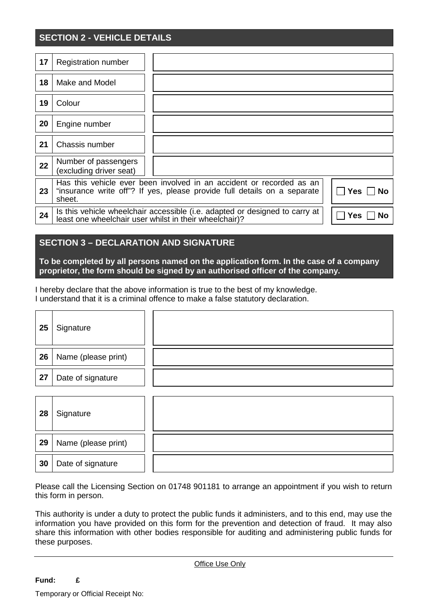## **SECTION 2 - VEHICLE DETAILS**

| 17 | <b>Registration number</b>                      |                                                                                                                                                  |                  |
|----|-------------------------------------------------|--------------------------------------------------------------------------------------------------------------------------------------------------|------------------|
| 18 | Make and Model                                  |                                                                                                                                                  |                  |
| 19 | Colour                                          |                                                                                                                                                  |                  |
| 20 | Engine number                                   |                                                                                                                                                  |                  |
| 21 | Chassis number                                  |                                                                                                                                                  |                  |
| 22 | Number of passengers<br>(excluding driver seat) |                                                                                                                                                  |                  |
| 23 | sheet.                                          | Has this vehicle ever been involved in an accident or recorded as an<br>"insurance write off"? If yes, please provide full details on a separate | Yes<br><b>No</b> |
| 24 |                                                 | Is this vehicle wheelchair accessible (i.e. adapted or designed to carry at<br>least one wheelchair user whilst in their wheelchair)?            | Yes<br>No        |

#### **SECTION 3 – DECLARATION AND SIGNATURE**

**To be completed by all persons named on the application form. In the case of a company proprietor, the form should be signed by an authorised officer of the company.**

I hereby declare that the above information is true to the best of my knowledge. I understand that it is a criminal offence to make a false statutory declaration.

| 25 | Signature           |  |
|----|---------------------|--|
| 26 | Name (please print) |  |
| 27 | Date of signature   |  |
|    |                     |  |
| 28 | Signature           |  |
| 29 | Name (please print) |  |
| 30 | Date of signature   |  |

Please call the Licensing Section on 01748 901181 to arrange an appointment if you wish to return this form in person.

This authority is under a duty to protect the public funds it administers, and to this end, may use the information you have provided on this form for the prevention and detection of fraud. It may also share this information with other bodies responsible for auditing and administering public funds for these purposes.

Office Use Only